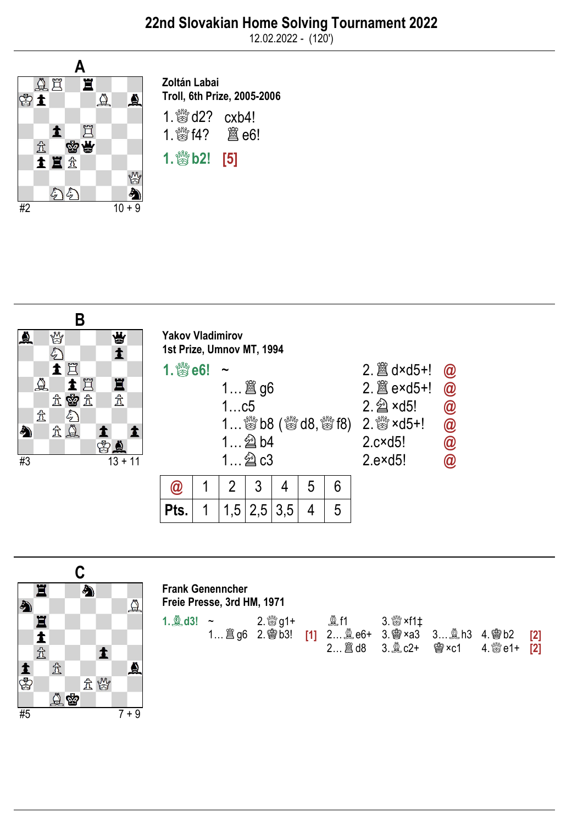12.02.2022 - (120')



Zoltán Labai Troll, 6th Prize, 2005-2006 1. to d2? cxb4!

1.♕f4? ♖e6!

 $1.$   $80$  b2! [5]